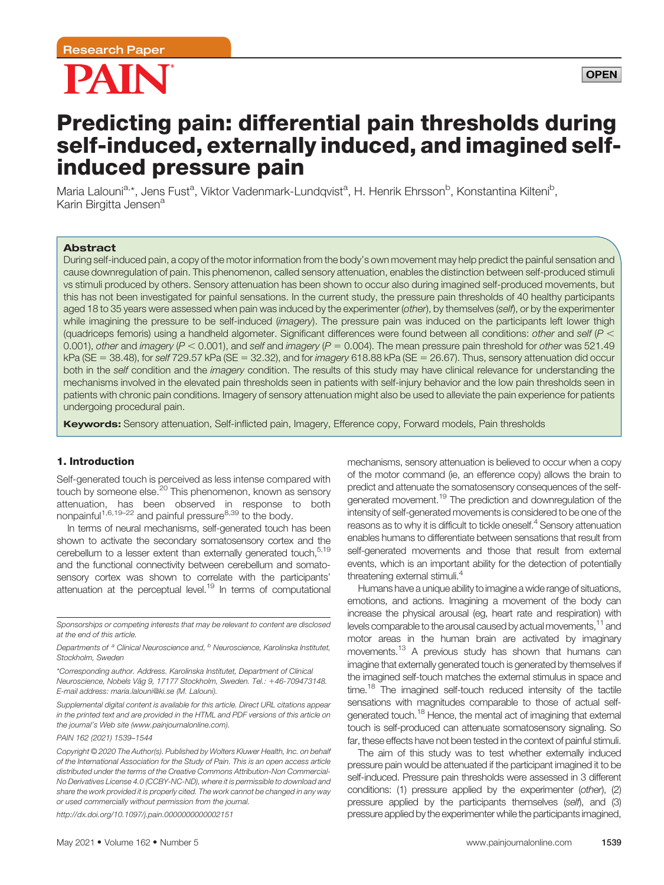

# Predicting pain: differential pain thresholds during self-induced, externally induced, and imagined selfinduced pressure pain

Maria Lalouni<sup>a,</sup>\*, Jens Fust<sup>a</sup>, Viktor Vadenmark-Lundqvist<sup>a</sup>, H. Henrik Ehrsson<sup>b</sup>, Konstantina Kilteni<sup>b</sup>, Karin Birgitta Jensen<sup>a</sup>

# Abstract

During self-induced pain, a copy of the motor information from the body's own movement may help predict the painful sensation and cause downregulation of pain. This phenomenon, called sensory attenuation, enables the distinction between self-produced stimuli vs stimuli produced by others. Sensory attenuation has been shown to occur also during imagined self-produced movements, but this has not been investigated for painful sensations. In the current study, the pressure pain thresholds of 40 healthy participants aged 18 to 35 years were assessed when pain was induced by the experimenter (other), by themselves (self), or by the experimenter while imagining the pressure to be self-induced (imagery). The pressure pain was induced on the participants left lower thigh (quadriceps femoris) using a handheld algometer. Significant differences were found between all conditions: other and self ( $P <$ 0.001), other and imagery ( $P < 0.001$ ), and self and imagery ( $P = 0.004$ ). The mean pressure pain threshold for other was 521.49  $kPa$  (SE = 38.48), for self 729.57 kPa (SE = 32.32), and for imagery 618.88 kPa (SE = 26.67). Thus, sensory attenuation did occur both in the self condition and the *imagery* condition. The results of this study may have clinical relevance for understanding the mechanisms involved in the elevated pain thresholds seen in patients with self-injury behavior and the low pain thresholds seen in patients with chronic pain conditions. Imagery of sensory attenuation might also be used to alleviate the pain experience for patients undergoing procedural pain.

Keywords: Sensory attenuation, Self-inflicted pain, Imagery, Efference copy, Forward models, Pain thresholds

# 1. Introduction

Self-generated touch is perceived as less intense compared with touch by someone else.<sup>20</sup> This phenomenon, known as sensory attenuation, has been observed in response to both nonpainful<sup>1,6,19–22</sup> and painful pressure<sup>8,39</sup> to the body.

In terms of neural mechanisms, self-generated touch has been shown to activate the secondary somatosensory cortex and the cerebellum to a lesser extent than externally generated touch,<sup>5,19</sup> and the functional connectivity between cerebellum and somatosensory cortex was shown to correlate with the participants' attenuation at the perceptual level.19 In terms of computational

\*Corresponding author. Address. Karolinska Institutet, Department of Clinical Neuroscience, Nobels Väg 9, 17177 Stockholm, Sweden. Tel.: +46-709473148. E-mail address: [maria.lalouni@ki.se](mailto:maria.lalouni@ki.se) (M. Lalouni).

Supplemental digital content is available for this article. Direct URL citations appear in the printed text and are provided in the HTML and PDF versions of this article on the journal's Web site [\(www.painjournalonline.com](http://www.painjournalonline.com)).

PAIN 162 (2021) 1539–1544

<http://dx.doi.org/10.1097/j.pain.0000000000002151>

mechanisms, sensory attenuation is believed to occur when a copy of the motor command (ie, an efference copy) allows the brain to predict and attenuate the somatosensory consequences of the selfgenerated movement.<sup>19</sup> The prediction and downregulation of the intensity of self-generated movements is considered to be one of the reasons as to why it is difficult to tickle oneself.<sup>4</sup> Sensory attenuation enables humans to differentiate between sensations that result from self-generated movements and those that result from external events, which is an important ability for the detection of potentially threatening external stimuli.<sup>4</sup>

Humans have a unique ability to imagine a wide range of situations, emotions, and actions. Imagining a movement of the body can increase the physical arousal (eg, heart rate and respiration) with levels comparable to the arousal caused by actual movements,<sup>11</sup> and motor areas in the human brain are activated by imaginary movements.13 A previous study has shown that humans can imagine that externally generated touch is generated by themselves if the imagined self-touch matches the external stimulus in space and time.<sup>18</sup> The imagined self-touch reduced intensity of the tactile sensations with magnitudes comparable to those of actual selfgenerated touch.<sup>18</sup> Hence, the mental act of imagining that external touch is self-produced can attenuate somatosensory signaling. So far, these effects have not been tested in the context of painful stimuli.

The aim of this study was to test whether externally induced pressure pain would be attenuated if the participant imagined it to be self-induced. Pressure pain thresholds were assessed in 3 different conditions: (1) pressure applied by the experimenter (other), (2) pressure applied by the participants themselves (self), and (3) pressure applied by the experimenter while the participants imagined,

Sponsorships or competing interests that may be relevant to content are disclosed at the end of this article.

Departments of <sup>a</sup> Clinical Neuroscience and, <sup>b</sup> Neuroscience, Karolinska Institutet, Stockholm, Sweden

Copyright © 2020 The Author(s). Published by Wolters Kluwer Health, Inc. on behalf of the International Association for the Study of Pain. This is an open access article distributed under the terms of the [Creative Commons Attribution-Non Commercial-](http://creativecommons.org/licenses/by-nc-nd/4.0/)[No Derivatives License 4.0 \(CCBY-NC-ND\)](http://creativecommons.org/licenses/by-nc-nd/4.0/), where it is permissible to download and share the work provided it is properly cited. The work cannot be changed in any way or used commercially without permission from the journal.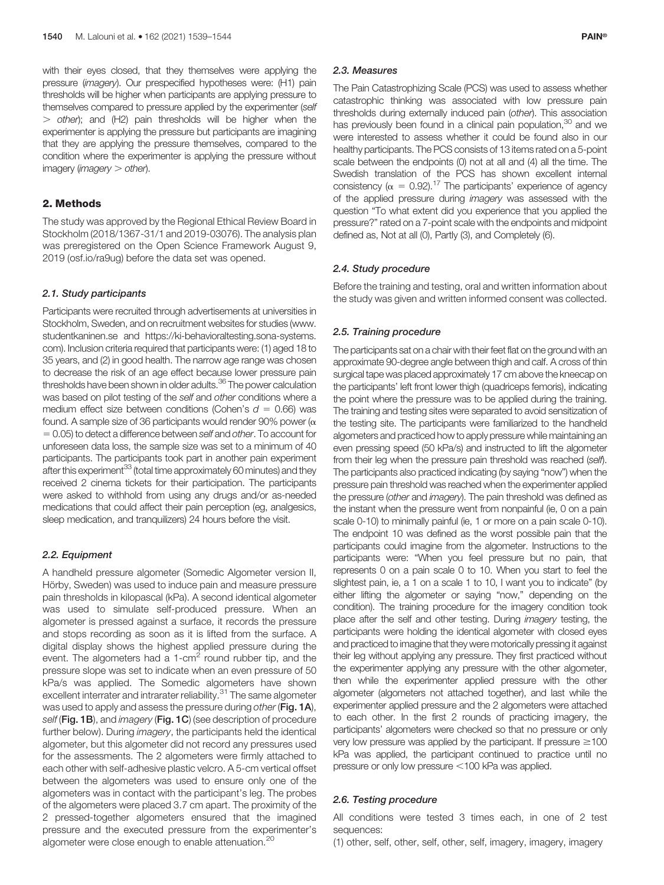with their eyes closed, that they themselves were applying the pressure (imagery). Our prespecified hypotheses were: (H1) pain thresholds will be higher when participants are applying pressure to themselves compared to pressure applied by the experimenter (self  $>$  other); and (H2) pain thresholds will be higher when the experimenter is applying the pressure but participants are imagining that they are applying the pressure themselves, compared to the condition where the experimenter is applying the pressure without imagery (*imagery*  $>$  *other*).

# 2. Methods

The study was approved by the Regional Ethical Review Board in Stockholm (2018/1367-31/1 and 2019-03076). The analysis plan was preregistered on the Open Science Framework August 9, 2019 (osf.io/ra9ug) before the data set was opened.

#### 2.1. Study participants

Participants were recruited through advertisements at universities in Stockholm, Sweden, and on recruitment websites for studies [\(www.](http://www.studentkaninen.se) [studentkaninen.se](http://www.studentkaninen.se) and [https://ki-behavioraltesting.sona-systems.](https://ki-behavioraltesting.sona-systems.com) [com\)](https://ki-behavioraltesting.sona-systems.com). Inclusion criteria required that participants were: (1) aged 18 to 35 years, and (2) in good health. The narrow age range was chosen to decrease the risk of an age effect because lower pressure pain thresholds have been shown in older adults.<sup>36</sup> The power calculation was based on pilot testing of the self and other conditions where a medium effect size between conditions (Cohen's  $d = 0.66$ ) was found. A sample size of 36 participants would render 90% power ( $\alpha$ )  $= 0.05$ ) to detect a difference between self and other. To account for unforeseen data loss, the sample size was set to a minimum of 40 participants. The participants took part in another pain experiment after this experiment<sup>33</sup> (total time approximately 60 minutes) and they received 2 cinema tickets for their participation. The participants were asked to withhold from using any drugs and/or as-needed medications that could affect their pain perception (eg, analgesics, sleep medication, and tranquilizers) 24 hours before the visit.

#### 2.2. Equipment

A handheld pressure algometer (Somedic Algometer version II, Hörby, Sweden) was used to induce pain and measure pressure pain thresholds in kilopascal (kPa). A second identical algometer was used to simulate self-produced pressure. When an algometer is pressed against a surface, it records the pressure and stops recording as soon as it is lifted from the surface. A digital display shows the highest applied pressure during the event. The algometers had a  $1$ -cm<sup>2</sup> round rubber tip, and the pressure slope was set to indicate when an even pressure of 50 kPa/s was applied. The Somedic algometers have shown excellent interrater and intrarater reliability.<sup>31</sup> The same algometer was used to apply and assess the pressure during other (Fig. 1A), self (Fig. 1B), and *imagery* (Fig. 1C) (see description of procedure further below). During *imagery*, the participants held the identical algometer, but this algometer did not record any pressures used for the assessments. The 2 algometers were firmly attached to each other with self-adhesive plastic velcro. A 5-cm vertical offset between the algometers was used to ensure only one of the algometers was in contact with the participant's leg. The probes of the algometers were placed 3.7 cm apart. The proximity of the 2 pressed-together algometers ensured that the imagined pressure and the executed pressure from the experimenter's algometer were close enough to enable attenuation.<sup>20</sup>

#### 2.3. Measures

The Pain Catastrophizing Scale (PCS) was used to assess whether catastrophic thinking was associated with low pressure pain thresholds during externally induced pain (other). This association has previously been found in a clinical pain population,<sup>30</sup> and we were interested to assess whether it could be found also in our healthy participants. The PCS consists of 13 items rated on a 5-point scale between the endpoints (0) not at all and (4) all the time. The Swedish translation of the PCS has shown excellent internal consistency ( $\alpha = 0.92$ ).<sup>17</sup> The participants' experience of agency of the applied pressure during imagery was assessed with the question "To what extent did you experience that you applied the pressure?" rated on a 7-point scale with the endpoints and midpoint defined as, Not at all (0), Partly (3), and Completely (6).

# 2.4. Study procedure

Before the training and testing, oral and written information about the study was given and written informed consent was collected.

#### 2.5. Training procedure

The participants sat on a chair with their feet flat on the ground with an approximate 90-degree angle between thigh and calf. A cross of thin surgical tape was placed approximately 17 cm above the kneecap on the participants' left front lower thigh (quadriceps femoris), indicating the point where the pressure was to be applied during the training. The training and testing sites were separated to avoid sensitization of the testing site. The participants were familiarized to the handheld algometers and practiced how to apply pressure while maintaining an even pressing speed (50 kPa/s) and instructed to lift the algometer from their leg when the pressure pain threshold was reached (self). The participants also practiced indicating (by saying "now") when the pressure pain threshold was reached when the experimenter applied the pressure (other and imagery). The pain threshold was defined as the instant when the pressure went from nonpainful (ie, 0 on a pain scale 0-10) to minimally painful (ie, 1 or more on a pain scale 0-10). The endpoint 10 was defined as the worst possible pain that the participants could imagine from the algometer. Instructions to the participants were: "When you feel pressure but no pain, that represents 0 on a pain scale 0 to 10. When you start to feel the slightest pain, ie, a 1 on a scale 1 to 10, I want you to indicate" (by either lifting the algometer or saying "now," depending on the condition). The training procedure for the imagery condition took place after the self and other testing. During imagery testing, the participants were holding the identical algometer with closed eyes and practiced to imagine that they were motorically pressing it against their leg without applying any pressure. They first practiced without the experimenter applying any pressure with the other algometer, then while the experimenter applied pressure with the other algometer (algometers not attached together), and last while the experimenter applied pressure and the 2 algometers were attached to each other. In the first 2 rounds of practicing imagery, the participants' algometers were checked so that no pressure or only very low pressure was applied by the participant. If pressure  $\geq$ 100 kPa was applied, the participant continued to practice until no pressure or only low pressure <100 kPa was applied.

#### 2.6. Testing procedure

All conditions were tested 3 times each, in one of 2 test sequences:

(1) other, self, other, self, other, self, imagery, imagery, imagery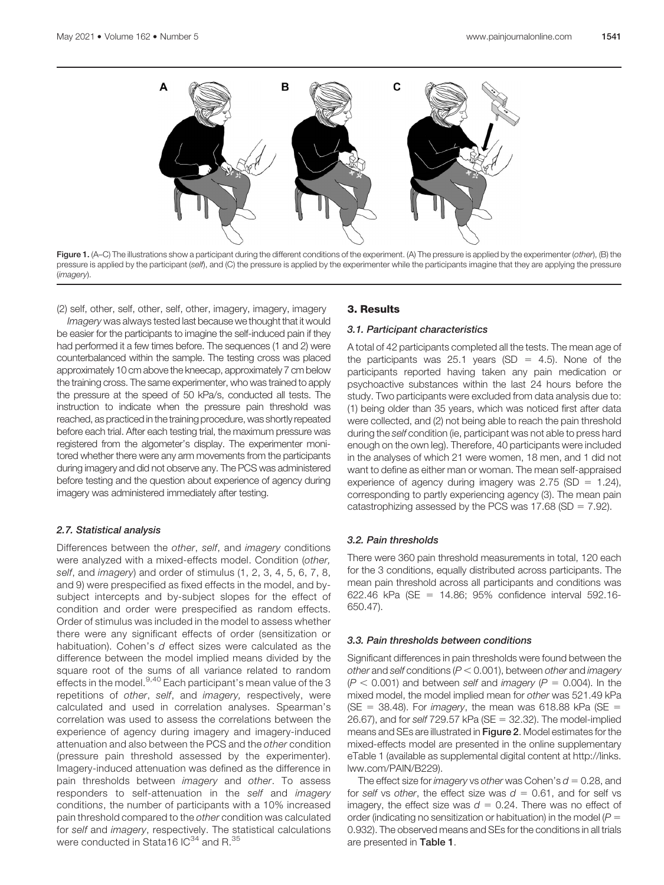

Figure 1. (A–C) The illustrations show a participant during the different conditions of the experiment. (A) The pressure is applied by the experimenter (other), (B) the pressure is applied by the participant (self), and (C) the pressure is applied by the experimenter while the participants imagine that they are applying the pressure (*imagery*).

(2) self, other, self, other, self, other, imagery, imagery, imagery

Imagery was always tested last because we thought that it would be easier for the participants to imagine the self-induced pain if they had performed it a few times before. The sequences (1 and 2) were counterbalanced within the sample. The testing cross was placed approximately 10 cm above the kneecap, approximately 7 cm below the training cross. The same experimenter, who was trained to apply the pressure at the speed of 50 kPa/s, conducted all tests. The instruction to indicate when the pressure pain threshold was reached, as practiced in the training procedure, was shortly repeated before each trial. After each testing trial, the maximum pressure was registered from the algometer's display. The experimenter monitored whether there were any arm movements from the participants during imagery and did not observe any. The PCS was administered before testing and the question about experience of agency during imagery was administered immediately after testing.

## 2.7. Statistical analysis

Differences between the other, self, and imagery conditions were analyzed with a mixed-effects model. Condition (other, self, and imagery) and order of stimulus (1, 2, 3, 4, 5, 6, 7, 8, and 9) were prespecified as fixed effects in the model, and bysubject intercepts and by-subject slopes for the effect of condition and order were prespecified as random effects. Order of stimulus was included in the model to assess whether there were any significant effects of order (sensitization or habituation). Cohen's d effect sizes were calculated as the difference between the model implied means divided by the square root of the sums of all variance related to random effects in the model.<sup>9,40</sup> Each participant's mean value of the 3 repetitions of other, self, and imagery, respectively, were calculated and used in correlation analyses. Spearman's correlation was used to assess the correlations between the experience of agency during imagery and imagery-induced attenuation and also between the PCS and the other condition (pressure pain threshold assessed by the experimenter). Imagery-induced attenuation was defined as the difference in pain thresholds between *imagery* and other. To assess responders to self-attenuation in the self and imagery conditions, the number of participants with a 10% increased pain threshold compared to the other condition was calculated for self and imagery, respectively. The statistical calculations were conducted in Stata16 IC<sup>34</sup> and R.<sup>35</sup>

# 3. Results

# 3.1. Participant characteristics

A total of 42 participants completed all the tests. The mean age of the participants was 25.1 years (SD = 4.5). None of the participants reported having taken any pain medication or psychoactive substances within the last 24 hours before the study. Two participants were excluded from data analysis due to: (1) being older than 35 years, which was noticed first after data were collected, and (2) not being able to reach the pain threshold during the self condition (ie, participant was not able to press hard enough on the own leg). Therefore, 40 participants were included in the analyses of which 21 were women, 18 men, and 1 did not want to define as either man or woman. The mean self-appraised experience of agency during imagery was  $2.75$  (SD = 1.24), corresponding to partly experiencing agency (3). The mean pain catastrophizing assessed by the PCS was 17.68 (SD =  $7.92$ ).

## 3.2. Pain thresholds

There were 360 pain threshold measurements in total, 120 each for the 3 conditions, equally distributed across participants. The mean pain threshold across all participants and conditions was 622.46 kPa (SE = 14.86; 95% confidence interval 592.16-650.47).

## 3.3. Pain thresholds between conditions

Significant differences in pain thresholds were found between the other and self conditions ( $P < 0.001$ ), between other and imagery  $(P < 0.001)$  and between self and imagery (P = 0.004). In the mixed model, the model implied mean for other was 521.49 kPa (SE = 38.48). For imagery, the mean was 618.88 kPa (SE = 26.67), and for self  $729.57$  kPa (SE = 32.32). The model-implied means and SEs are illustrated in Figure 2. Model estimates for the mixed-effects model are presented in the online supplementary eTable 1 (available as supplemental digital content at [http://links.](http://links.lww.com/PAIN/B229) [lww.com/PAIN/B229\)](http://links.lww.com/PAIN/B229).

The effect size for *imagery* vs other was Cohen's  $d = 0.28$ , and for self vs other, the effect size was  $d = 0.61$ , and for self vs imagery, the effect size was  $d = 0.24$ . There was no effect of order (indicating no sensitization or habituation) in the model ( $P =$ 0.932). The observed means and SEs for the conditions in all trials are presented in Table 1.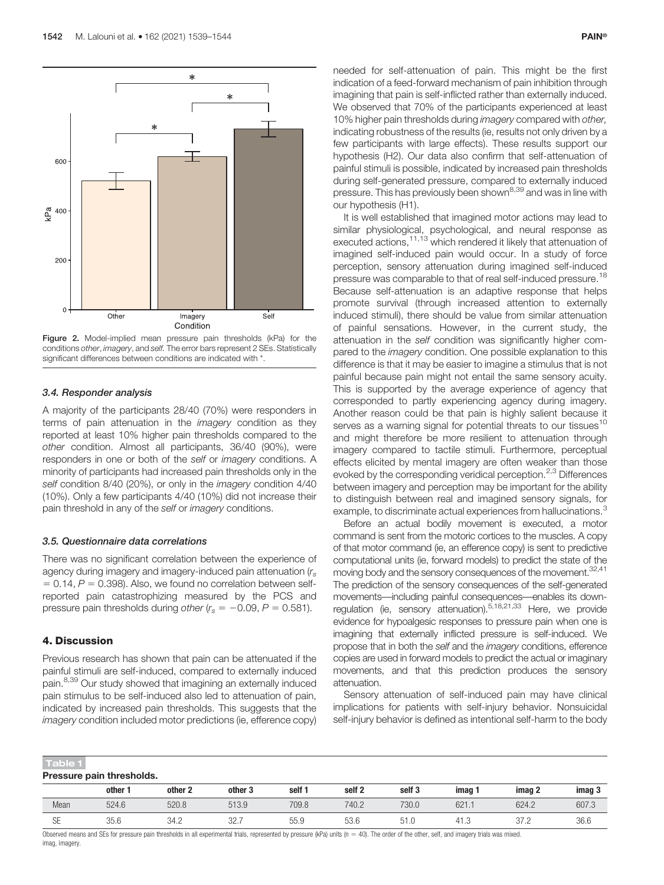

Figure 2. Model-implied mean pressure pain thresholds (kPa) for the conditions other, imagery, and self. The error bars represent 2 SEs. Statistically significant differences between conditions are indicated with \*.

# 3.4. Responder analysis

A majority of the participants 28/40 (70%) were responders in terms of pain attenuation in the *imagery* condition as they reported at least 10% higher pain thresholds compared to the other condition. Almost all participants, 36/40 (90%), were responders in one or both of the self or imagery conditions. A minority of participants had increased pain thresholds only in the self condition 8/40 (20%), or only in the imagery condition 4/40 (10%). Only a few participants 4/40 (10%) did not increase their pain threshold in any of the self or imagery conditions.

# 3.5. Questionnaire data correlations

There was no significant correlation between the experience of agency during imagery and imagery-induced pain attenuation  $(r_s)$  $= 0.14$ ,  $P = 0.398$ ). Also, we found no correlation between selfreported pain catastrophizing measured by the PCS and pressure pain thresholds during other ( $r_s = -0.09$ ,  $P = 0.581$ ).

# 4. Discussion

Previous research has shown that pain can be attenuated if the painful stimuli are self-induced, compared to externally induced pain.<sup>8,39</sup> Our study showed that imagining an externally induced pain stimulus to be self-induced also led to attenuation of pain, indicated by increased pain thresholds. This suggests that the imagery condition included motor predictions (ie, efference copy)

needed for self-attenuation of pain. This might be the first indication of a feed-forward mechanism of pain inhibition through imagining that pain is self-inflicted rather than externally induced. We observed that 70% of the participants experienced at least 10% higher pain thresholds during *imagery* compared with other, indicating robustness of the results (ie, results not only driven by a few participants with large effects). These results support our hypothesis (H2). Our data also confirm that self-attenuation of painful stimuli is possible, indicated by increased pain thresholds during self-generated pressure, compared to externally induced pressure. This has previously been shown<sup>8,39</sup> and was in line with our hypothesis (H1).

It is well established that imagined motor actions may lead to similar physiological, psychological, and neural response as executed actions,11,13 which rendered it likely that attenuation of imagined self-induced pain would occur. In a study of force perception, sensory attenuation during imagined self-induced pressure was comparable to that of real self-induced pressure.<sup>18</sup> Because self-attenuation is an adaptive response that helps promote survival (through increased attention to externally induced stimuli), there should be value from similar attenuation of painful sensations. However, in the current study, the attenuation in the self condition was significantly higher compared to the imagery condition. One possible explanation to this difference is that it may be easier to imagine a stimulus that is not painful because pain might not entail the same sensory acuity. This is supported by the average experience of agency that corresponded to partly experiencing agency during imagery. Another reason could be that pain is highly salient because it serves as a warning signal for potential threats to our tissues<sup>10</sup> and might therefore be more resilient to attenuation through imagery compared to tactile stimuli. Furthermore, perceptual effects elicited by mental imagery are often weaker than those evoked by the corresponding veridical perception.<sup>2,3</sup> Differences between imagery and perception may be important for the ability to distinguish between real and imagined sensory signals, for example, to discriminate actual experiences from hallucinations.<sup>3</sup>

Before an actual bodily movement is executed, a motor command is sent from the motoric cortices to the muscles. A copy of that motor command (ie, an efference copy) is sent to predictive computational units (ie, forward models) to predict the state of the moving body and the sensory consequences of the movement.  $32,41$ The prediction of the sensory consequences of the self-generated movements—including painful consequences—enables its downregulation (ie, sensory attenuation).5,18,21,33 Here, we provide evidence for hypoalgesic responses to pressure pain when one is imagining that externally inflicted pressure is self-induced. We propose that in both the self and the *imagery* conditions, efference copies are used in forward models to predict the actual or imaginary movements, and that this prediction produces the sensory attenuation.

Sensory attenuation of self-induced pain may have clinical implications for patients with self-injury behavior. Nonsuicidal self-injury behavior is defined as intentional self-harm to the body

| Table 1                   |         |         |         |        |                   |                   |       |        |        |
|---------------------------|---------|---------|---------|--------|-------------------|-------------------|-------|--------|--------|
| Pressure pain thresholds. |         |         |         |        |                   |                   |       |        |        |
|                           | other * | other 2 | other 3 | self 1 | self <sub>2</sub> | self <sub>3</sub> | imag  | imag 2 | imag 3 |
| Mean                      | 524.6   | 520.8   | 513.9   | 709.8  | 740.2             | 730.0             | 621.7 | 624.2  | 607.3  |
| SE                        | 35.6    | 34.2    | 32.7    | 55.9   | 53.6              | 51.0              | 41.3  | 37.2   | 36.6   |

Observed means and SEs for pressure pain thresholds in all experimental trials, represented by pressure (kPa) units ( $n = 40$ ). The order of the other, self, and imagery trials was mixed. imag, imagery.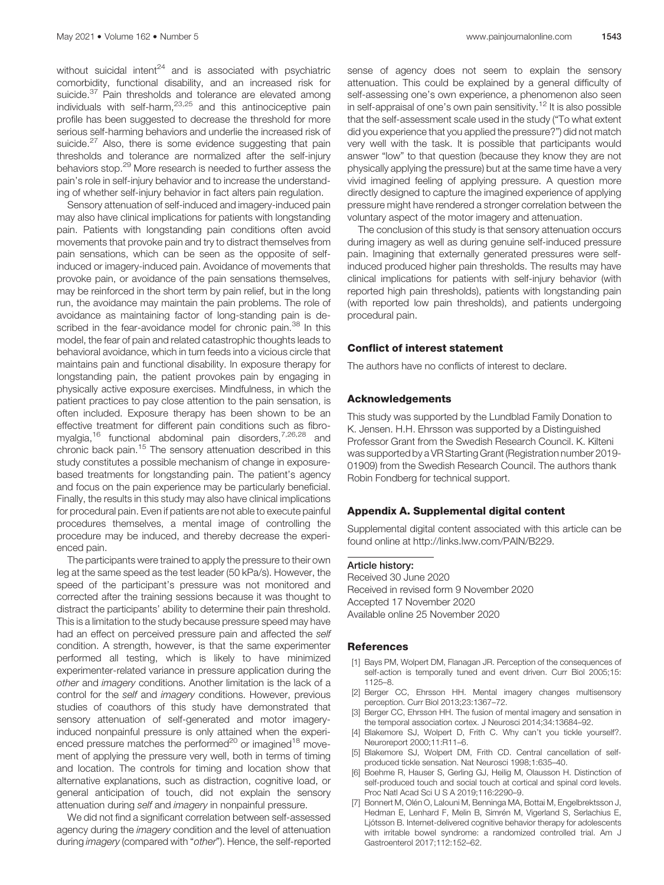without suicidal intent $24$  and is associated with psychiatric comorbidity, functional disability, and an increased risk for suicide.<sup>37</sup> Pain thresholds and tolerance are elevated among individuals with self-harm, $23,25$  and this antinociceptive pain profile has been suggested to decrease the threshold for more serious self-harming behaviors and underlie the increased risk of suicide.<sup>27</sup> Also, there is some evidence suggesting that pain thresholds and tolerance are normalized after the self-injury behaviors stop.<sup>29</sup> More research is needed to further assess the pain's role in self-injury behavior and to increase the understanding of whether self-injury behavior in fact alters pain regulation.

Sensory attenuation of self-induced and imagery-induced pain may also have clinical implications for patients with longstanding pain. Patients with longstanding pain conditions often avoid movements that provoke pain and try to distract themselves from pain sensations, which can be seen as the opposite of selfinduced or imagery-induced pain. Avoidance of movements that provoke pain, or avoidance of the pain sensations themselves, may be reinforced in the short term by pain relief, but in the long run, the avoidance may maintain the pain problems. The role of avoidance as maintaining factor of long-standing pain is described in the fear-avoidance model for chronic pain.<sup>38</sup> In this model, the fear of pain and related catastrophic thoughts leads to behavioral avoidance, which in turn feeds into a vicious circle that maintains pain and functional disability. In exposure therapy for longstanding pain, the patient provokes pain by engaging in physically active exposure exercises. Mindfulness, in which the patient practices to pay close attention to the pain sensation, is often included. Exposure therapy has been shown to be an effective treatment for different pain conditions such as fibromyalgia,<sup>16</sup> functional abdominal pain disorders,<sup>7,26,28</sup> and chronic back pain.<sup>15</sup> The sensory attenuation described in this study constitutes a possible mechanism of change in exposurebased treatments for longstanding pain. The patient's agency and focus on the pain experience may be particularly beneficial. Finally, the results in this study may also have clinical implications for procedural pain. Even if patients are not able to execute painful procedures themselves, a mental image of controlling the procedure may be induced, and thereby decrease the experienced pain.

The participants were trained to apply the pressure to their own leg at the same speed as the test leader (50 kPa/s). However, the speed of the participant's pressure was not monitored and corrected after the training sessions because it was thought to distract the participants' ability to determine their pain threshold. This is a limitation to the study because pressure speed may have had an effect on perceived pressure pain and affected the self condition. A strength, however, is that the same experimenter performed all testing, which is likely to have minimized experimenter-related variance in pressure application during the other and imagery conditions. Another limitation is the lack of a control for the self and imagery conditions. However, previous studies of coauthors of this study have demonstrated that sensory attenuation of self-generated and motor imageryinduced nonpainful pressure is only attained when the experienced pressure matches the performed $^{20}$  or imagined<sup>18</sup> movement of applying the pressure very well, both in terms of timing and location. The controls for timing and location show that alternative explanations, such as distraction, cognitive load, or general anticipation of touch, did not explain the sensory attenuation during self and *imagery* in nonpainful pressure.

We did not find a significant correlation between self-assessed agency during the imagery condition and the level of attenuation during imagery (compared with "other"). Hence, the self-reported sense of agency does not seem to explain the sensory attenuation. This could be explained by a general difficulty of self-assessing one's own experience, a phenomenon also seen in self-appraisal of one's own pain sensitivity.<sup>12</sup> It is also possible that the self-assessment scale used in the study ("To what extent did you experience that you applied the pressure?") did not match very well with the task. It is possible that participants would answer "low" to that question (because they know they are not physically applying the pressure) but at the same time have a very vivid imagined feeling of applying pressure. A question more directly designed to capture the imagined experience of applying pressure might have rendered a stronger correlation between the voluntary aspect of the motor imagery and attenuation.

The conclusion of this study is that sensory attenuation occurs during imagery as well as during genuine self-induced pressure pain. Imagining that externally generated pressures were selfinduced produced higher pain thresholds. The results may have clinical implications for patients with self-injury behavior (with reported high pain thresholds), patients with longstanding pain (with reported low pain thresholds), and patients undergoing procedural pain.

## Conflict of interest statement

The authors have no conflicts of interest to declare.

#### Acknowledgements

This study was supported by the Lundblad Family Donation to K. Jensen. H.H. Ehrsson was supported by a Distinguished Professor Grant from the Swedish Research Council. K. Kilteni was supported by a VR Starting Grant (Registration number 2019- 01909) from the Swedish Research Council. The authors thank Robin Fondberg for technical support.

#### Appendix A. Supplemental digital content

Supplemental digital content associated with this article can be found online at [http://links.lww.com/PAIN/B229.](http://links.lww.com/PAIN/B229)

Received 30 June 2020 Received in revised form 9 November 2020 Accepted 17 November 2020 Available online 25 November 2020

# **References**

- [1] Bays PM, Wolpert DM, Flanagan JR. Perception of the consequences of self-action is temporally tuned and event driven. Curr Biol 2005;15: 1125–8.
- [2] Berger CC, Ehrsson HH. Mental imagery changes multisensory perception. Curr Biol 2013;23:1367–72.
- [3] Berger CC, Ehrsson HH. The fusion of mental imagery and sensation in the temporal association cortex. J Neurosci 2014;34:13684–92.
- [4] Blakemore SJ, Wolpert D, Frith C. Why can't you tickle yourself?. Neuroreport 2000;11:R11–6.
- [5] Blakemore SJ, Wolpert DM, Frith CD. Central cancellation of selfproduced tickle sensation. Nat Neurosci 1998;1:635–40.
- [6] Boehme R, Hauser S, Gerling GJ, Heilig M, Olausson H. Distinction of self-produced touch and social touch at cortical and spinal cord levels. Proc Natl Acad Sci U S A 2019;116:2290–9.
- [7] Bonnert M, Olén O, Lalouni M, Benninga MA, Bottai M, Engelbrektsson J, Hedman E, Lenhard F, Melin B, Simrén M, Vigerland S, Serlachius E, Ljótsson B. Internet-delivered cognitive behavior therapy for adolescents with irritable bowel syndrome: a randomized controlled trial. Am J Gastroenterol 2017;112:152–62.